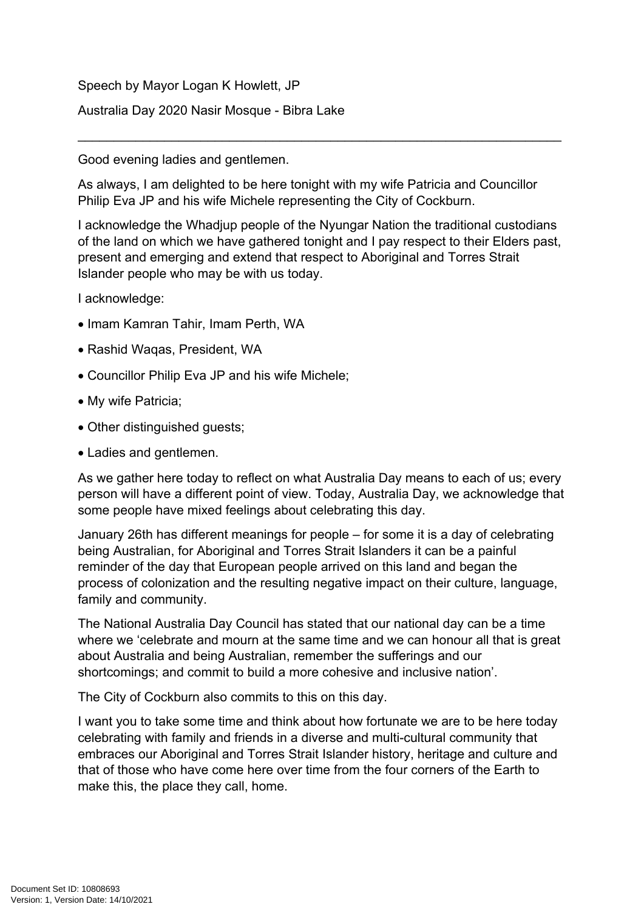Speech by Mayor Logan K Howlett, JP Australia Day 2020 Nasir Mosque - Bibra Lake

Good evening ladies and gentlemen.

As always, I am delighted to be here tonight with my wife Patricia and Councillor Philip Eva JP and his wife Michele representing the City of Cockburn.

\_\_\_\_\_\_\_\_\_\_\_\_\_\_\_\_\_\_\_\_\_\_\_\_\_\_\_\_\_\_\_\_\_\_\_\_\_\_\_\_\_\_\_\_\_\_\_\_\_\_\_\_\_\_\_\_\_\_\_\_\_\_\_\_\_\_\_

I acknowledge the Whadjup people of the Nyungar Nation the traditional custodians of the land on which we have gathered tonight and I pay respect to their Elders past, present and emerging and extend that respect to Aboriginal and Torres Strait Islander people who may be with us today.

I acknowledge:

- Imam Kamran Tahir, Imam Perth, WA
- Rashid Waqas, President, WA
- Councillor Philip Eva JP and his wife Michele;
- My wife Patricia;
- Other distinguished guests;
- Ladies and gentlemen.

As we gather here today to reflect on what Australia Day means to each of us; every person will have a different point of view. Today, Australia Day, we acknowledge that some people have mixed feelings about celebrating this day.

January 26th has different meanings for people – for some it is a day of celebrating being Australian, for Aboriginal and Torres Strait Islanders it can be a painful reminder of the day that European people arrived on this land and began the process of colonization and the resulting negative impact on their culture, language, family and community.

The National Australia Day Council has stated that our national day can be a time where we 'celebrate and mourn at the same time and we can honour all that is great about Australia and being Australian, remember the sufferings and our shortcomings; and commit to build a more cohesive and inclusive nation'.

The City of Cockburn also commits to this on this day.

I want you to take some time and think about how fortunate we are to be here today celebrating with family and friends in a diverse and multi-cultural community that embraces our Aboriginal and Torres Strait Islander history, heritage and culture and that of those who have come here over time from the four corners of the Earth to make this, the place they call, home.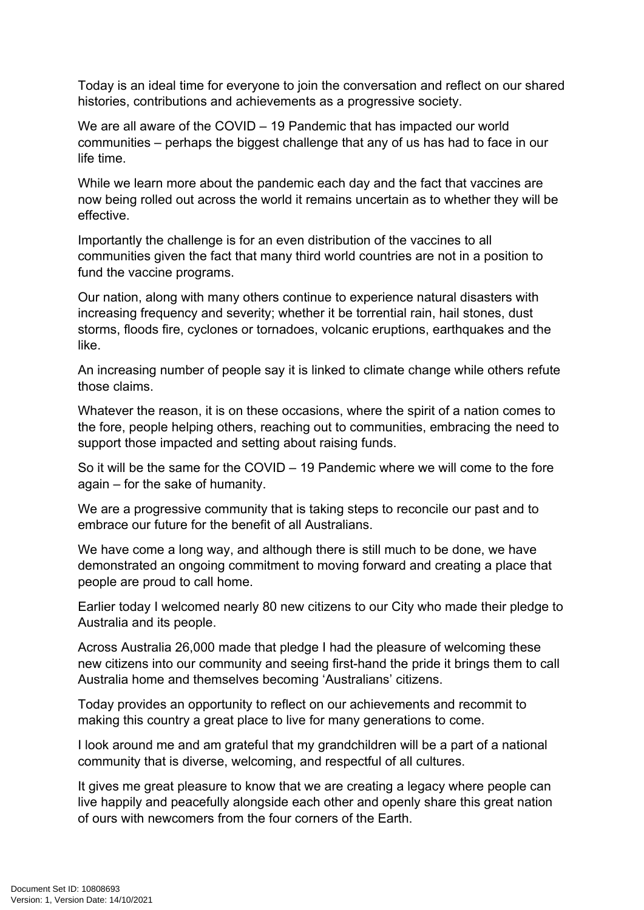Today is an ideal time for everyone to join the conversation and reflect on our shared histories, contributions and achievements as a progressive society.

We are all aware of the COVID – 19 Pandemic that has impacted our world communities – perhaps the biggest challenge that any of us has had to face in our life time.

While we learn more about the pandemic each day and the fact that vaccines are now being rolled out across the world it remains uncertain as to whether they will be effective.

Importantly the challenge is for an even distribution of the vaccines to all communities given the fact that many third world countries are not in a position to fund the vaccine programs.

Our nation, along with many others continue to experience natural disasters with increasing frequency and severity; whether it be torrential rain, hail stones, dust storms, floods fire, cyclones or tornadoes, volcanic eruptions, earthquakes and the like.

An increasing number of people say it is linked to climate change while others refute those claims.

Whatever the reason, it is on these occasions, where the spirit of a nation comes to the fore, people helping others, reaching out to communities, embracing the need to support those impacted and setting about raising funds.

So it will be the same for the COVID – 19 Pandemic where we will come to the fore again – for the sake of humanity.

We are a progressive community that is taking steps to reconcile our past and to embrace our future for the benefit of all Australians.

We have come a long way, and although there is still much to be done, we have demonstrated an ongoing commitment to moving forward and creating a place that people are proud to call home.

Earlier today I welcomed nearly 80 new citizens to our City who made their pledge to Australia and its people.

Across Australia 26,000 made that pledge I had the pleasure of welcoming these new citizens into our community and seeing first-hand the pride it brings them to call Australia home and themselves becoming 'Australians' citizens.

Today provides an opportunity to reflect on our achievements and recommit to making this country a great place to live for many generations to come.

I look around me and am grateful that my grandchildren will be a part of a national community that is diverse, welcoming, and respectful of all cultures.

It gives me great pleasure to know that we are creating a legacy where people can live happily and peacefully alongside each other and openly share this great nation of ours with newcomers from the four corners of the Earth.